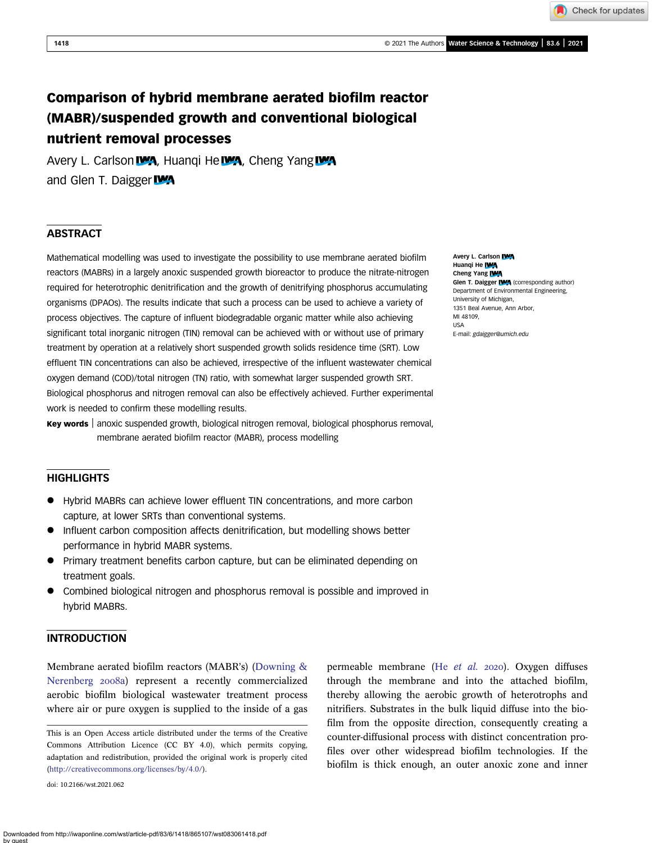Check for updates

# Comparison of hybrid membrane aerated biofilm reactor (MABR)/suspended growth and conventional biological nutrient removal processes

Avery L. Carlson **WA**, Huanqi He **WA**, Cheng Yang WA and Glen T. Daigger IVA

## **ABSTRACT**

Mathematical modelling was used to investigate the possibility to use membrane aerated biofilm reactors (MABRs) in a largely anoxic suspended growth bioreactor to produce the nitrate-nitrogen required for heterotrophic denitrification and the growth of denitrifying phosphorus accumulating organisms (DPAOs). The results indicate that such a process can be used to achieve a variety of process objectives. The capture of influent biodegradable organic matter while also achieving significant total inorganic nitrogen (TIN) removal can be achieved with or without use of primary treatment by operation at a relatively short suspended growth solids residence time (SRT). Low effluent TIN concentrations can also be achieved, irrespective of the influent wastewater chemical oxygen demand (COD)/total nitrogen (TN) ratio, with somewhat larger suspended growth SRT. Biological phosphorus and nitrogen removal can also be effectively achieved. Further experimental work is needed to confirm these modelling results.

Key words | anoxic suspended growth, biological nitrogen removal, biological phosphorus removal, membrane aerated biofilm reactor (MABR), process modelling

## **HIGHLIGHTS**

- Hybrid MABRs can achieve lower effluent TIN concentrations, and more carbon capture, at lower SRTs than conventional systems.
- Influent carbon composition affects denitrification, but modelling shows better performance in hybrid MABR systems.
- Primary treatment benefits carbon capture, but can be eliminated depending on treatment goals.
- Combined biological nitrogen and phosphorus removal is possible and improved in hybrid MABRs.

## INTRODUCTION

Membrane aerated biofilm reactors (MABR's) ([Downing &](#page-10-0) [Nerenberg](#page-10-0) 2008a) represent a recently commercialized aerobic biofilm biological wastewater treatment process where air or pure oxygen is supplied to the inside of a gas

This is an Open Access article distributed under the terms of the Creative Commons Attribution Licence (CC BY 4.0), which permits copying, adaptation and redistribution, provided the original work is properly cited ([http://creativecommons.org/licenses/by/4.0/\)](http://creativecommons.org/licenses/by/4.0/).

doi: 10.2166/wst.2021.062

Avery L. Carlson IVA Huangi He IWA Cheng Yang **IWA** Glen T. Daigger IVA (corresponding author) Department of Environmental Engineering, University of Michigan, 1351 Beal Avenue, Ann Arbor, MI 48109, USA

E-mail: [gdaigger@umich.edu](mailto:gdaigger@umich.edu)

permeable membrane (He [et al.](#page-10-0) 2020). Oxygen diffuses through the membrane and into the attached biofilm, thereby allowing the aerobic growth of heterotrophs and nitrifiers. Substrates in the bulk liquid diffuse into the biofilm from the opposite direction, consequently creating a counter-diffusional process with distinct concentration profiles over other widespread biofilm technologies. If the biofilm is thick enough, an outer anoxic zone and inner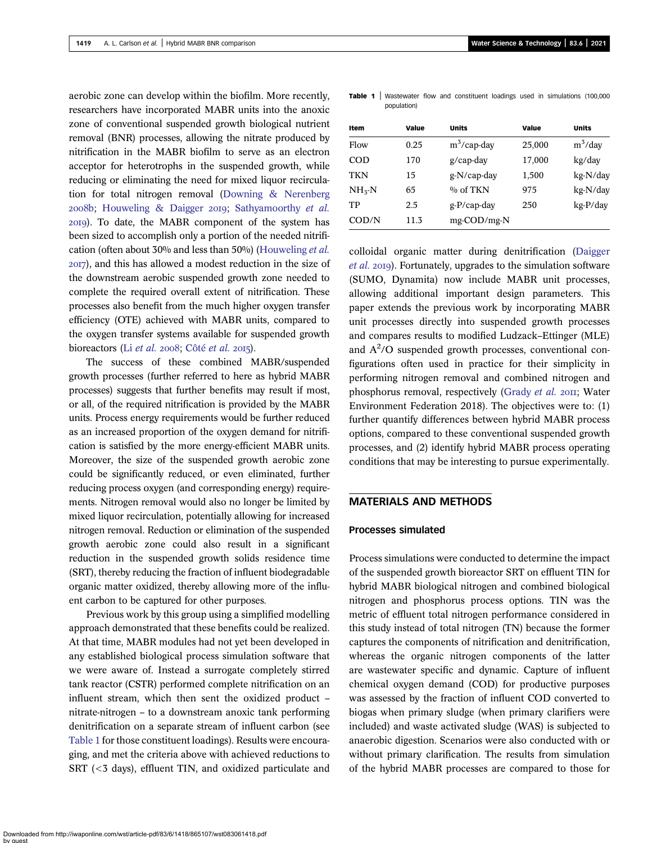<span id="page-1-0"></span>aerobic zone can develop within the biofilm. More recently, researchers have incorporated MABR units into the anoxic zone of conventional suspended growth biological nutrient removal (BNR) processes, allowing the nitrate produced by nitrification in the MABR biofilm to serve as an electron acceptor for heterotrophs in the suspended growth, while reducing or eliminating the need for mixed liquor recirculation for total nitrogen removal [\(Downing & Nerenberg](#page-10-0)  $2008b$ ; [Houweling & Daigger](#page-10-0) 2019; [Sathyamoorthy](#page-10-0) et al. ). To date, the MABR component of the system has been sized to accomplish only a portion of the needed nitrification (often about 30% and less than 50%) ([Houweling](#page-10-0) et al. ), and this has allowed a modest reduction in the size of the downstream aerobic suspended growth zone needed to complete the required overall extent of nitrification. These processes also benefit from the much higher oxygen transfer efficiency (OTE) achieved with MABR units, compared to the oxygen transfer systems available for suspended growth bioreactors (Li [et al.](#page-10-0) 2008; Côté et al. 2015).

The success of these combined MABR/suspended growth processes (further referred to here as hybrid MABR processes) suggests that further benefits may result if most, or all, of the required nitrification is provided by the MABR units. Process energy requirements would be further reduced as an increased proportion of the oxygen demand for nitrification is satisfied by the more energy-efficient MABR units. Moreover, the size of the suspended growth aerobic zone could be significantly reduced, or even eliminated, further reducing process oxygen (and corresponding energy) requirements. Nitrogen removal would also no longer be limited by mixed liquor recirculation, potentially allowing for increased nitrogen removal. Reduction or elimination of the suspended growth aerobic zone could also result in a significant reduction in the suspended growth solids residence time (SRT), thereby reducing the fraction of influent biodegradable organic matter oxidized, thereby allowing more of the influent carbon to be captured for other purposes.

Previous work by this group using a simplified modelling approach demonstrated that these benefits could be realized. At that time, MABR modules had not yet been developed in any established biological process simulation software that we were aware of. Instead a surrogate completely stirred tank reactor (CSTR) performed complete nitrification on an influent stream, which then sent the oxidized product – nitrate-nitrogen – to a downstream anoxic tank performing denitrification on a separate stream of influent carbon (see Table 1 for those constituent loadings). Results were encouraging, and met the criteria above with achieved reductions to SRT (<3 days), effluent TIN, and oxidized particulate and

| Item         | Value | <b>Units</b>   | Value  | <b>Units</b> |
|--------------|-------|----------------|--------|--------------|
| Flow         | 0.25  | $m^3$ /cap-day | 25,000 | $m^3$ /day   |
| <b>COD</b>   | 170   | $g$ /cap-day   | 17,000 | kg/day       |
| <b>TKN</b>   | 15    | g-N/cap-day    | 1,500  | kg-N/day     |
| $NH_{5}N$    | 65    | $\%$ of TKN    | 975    | kg-N/day     |
| TP           | 2.5   | $g-P/cap$ -day | 250    | $kg-P/day$   |
| $\rm{COD/N}$ | 11.3  | mg-COD/mg-N    |        |              |

colloidal organic matter during denitrification [\(Daigger](#page-10-0) [et al.](#page-10-0) 2019). Fortunately, upgrades to the simulation software (SUMO, Dynamita) now include MABR unit processes, allowing additional important design parameters. This paper extends the previous work by incorporating MABR unit processes directly into suspended growth processes and compares results to modified Ludzack–Ettinger (MLE) and A2 /O suspended growth processes, conventional configurations often used in practice for their simplicity in performing nitrogen removal and combined nitrogen and phosphorus removal, respectively [\(Grady](#page-10-0) et al. 2011; Water Environment Federation 2018). The objectives were to: (1) further quantify differences between hybrid MABR process options, compared to these conventional suspended growth processes, and (2) identify hybrid MABR process operating conditions that may be interesting to pursue experimentally.

## MATERIALS AND METHODS

#### Processes simulated

Process simulations were conducted to determine the impact of the suspended growth bioreactor SRT on effluent TIN for hybrid MABR biological nitrogen and combined biological nitrogen and phosphorus process options. TIN was the metric of effluent total nitrogen performance considered in this study instead of total nitrogen (TN) because the former captures the components of nitrification and denitrification, whereas the organic nitrogen components of the latter are wastewater specific and dynamic. Capture of influent chemical oxygen demand (COD) for productive purposes was assessed by the fraction of influent COD converted to biogas when primary sludge (when primary clarifiers were included) and waste activated sludge (WAS) is subjected to anaerobic digestion. Scenarios were also conducted with or without primary clarification. The results from simulation of the hybrid MABR processes are compared to those for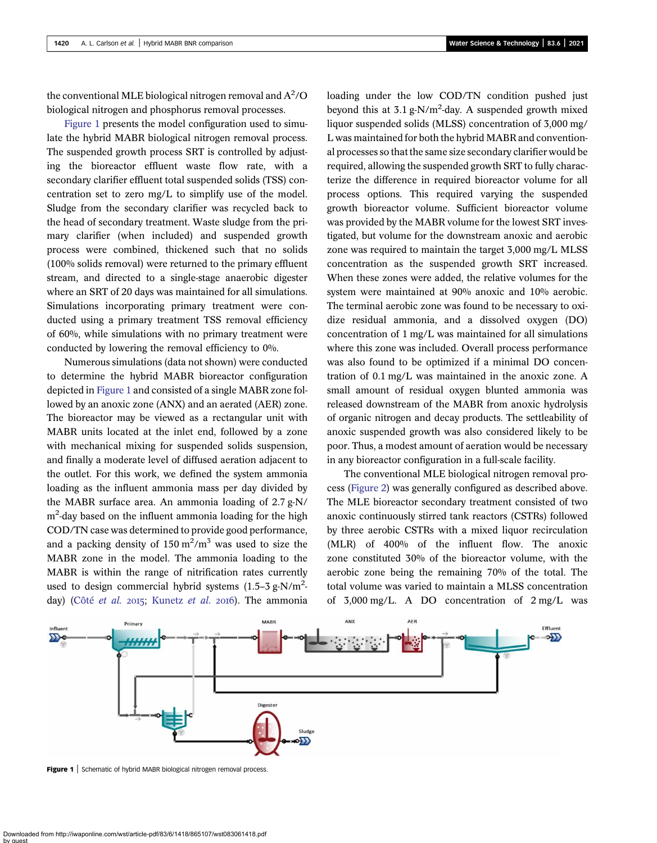the conventional MLE biological nitrogen removal and  $\mathrm{A}^2/\mathrm{O}$ biological nitrogen and phosphorus removal processes.

Figure 1 presents the model configuration used to simulate the hybrid MABR biological nitrogen removal process. The suspended growth process SRT is controlled by adjusting the bioreactor effluent waste flow rate, with a secondary clarifier effluent total suspended solids (TSS) concentration set to zero mg/L to simplify use of the model. Sludge from the secondary clarifier was recycled back to the head of secondary treatment. Waste sludge from the primary clarifier (when included) and suspended growth process were combined, thickened such that no solids (100% solids removal) were returned to the primary effluent stream, and directed to a single-stage anaerobic digester where an SRT of 20 days was maintained for all simulations. Simulations incorporating primary treatment were conducted using a primary treatment TSS removal efficiency of 60%, while simulations with no primary treatment were conducted by lowering the removal efficiency to 0%.

Numerous simulations (data not shown) were conducted to determine the hybrid MABR bioreactor configuration depicted in Figure 1 and consisted of a single MABR zone followed by an anoxic zone (ANX) and an aerated (AER) zone. The bioreactor may be viewed as a rectangular unit with MABR units located at the inlet end, followed by a zone with mechanical mixing for suspended solids suspension, and finally a moderate level of diffused aeration adjacent to the outlet. For this work, we defined the system ammonia loading as the influent ammonia mass per day divided by the MABR surface area. An ammonia loading of 2.7 g-N/ m<sup>2</sup> -day based on the influent ammonia loading for the high COD/TN case was determined to provide good performance, and a packing density of  $150 \text{ m}^2/\text{m}^3$  was used to size the MABR zone in the model. The ammonia loading to the MABR is within the range of nitrification rates currently used to design commercial hybrid systems  $(1.5-3 \text{ g-N/m}^2$ day) (Côté [et al.](#page-10-0) 2015; [Kunetz](#page-10-0) et al. 2016). The ammonia loading under the low COD/TN condition pushed just beyond this at  $3.1$  g-N/m<sup>2</sup>-day. A suspended growth mixed liquor suspended solids (MLSS) concentration of 3,000 mg/ L was maintained for both the hybrid MABR and conventional processes so that the same size secondary clarifier would be required, allowing the suspended growth SRT to fully characterize the difference in required bioreactor volume for all process options. This required varying the suspended growth bioreactor volume. Sufficient bioreactor volume was provided by the MABR volume for the lowest SRT investigated, but volume for the downstream anoxic and aerobic zone was required to maintain the target 3,000 mg/L MLSS concentration as the suspended growth SRT increased. When these zones were added, the relative volumes for the system were maintained at 90% anoxic and 10% aerobic. The terminal aerobic zone was found to be necessary to oxidize residual ammonia, and a dissolved oxygen (DO) concentration of 1 mg/L was maintained for all simulations where this zone was included. Overall process performance was also found to be optimized if a minimal DO concentration of 0.1 mg/L was maintained in the anoxic zone. A small amount of residual oxygen blunted ammonia was released downstream of the MABR from anoxic hydrolysis of organic nitrogen and decay products. The settleability of anoxic suspended growth was also considered likely to be poor. Thus, a modest amount of aeration would be necessary in any bioreactor configuration in a full-scale facility.

The conventional MLE biological nitrogen removal process ([Figure 2\)](#page-3-0) was generally configured as described above. The MLE bioreactor secondary treatment consisted of two anoxic continuously stirred tank reactors (CSTRs) followed by three aerobic CSTRs with a mixed liquor recirculation (MLR) of 400% of the influent flow. The anoxic zone constituted 30% of the bioreactor volume, with the aerobic zone being the remaining 70% of the total. The total volume was varied to maintain a MLSS concentration of 3,000 mg/L. A DO concentration of 2 mg/L was



Figure 1 | Schematic of hybrid MABR biological nitrogen removal process.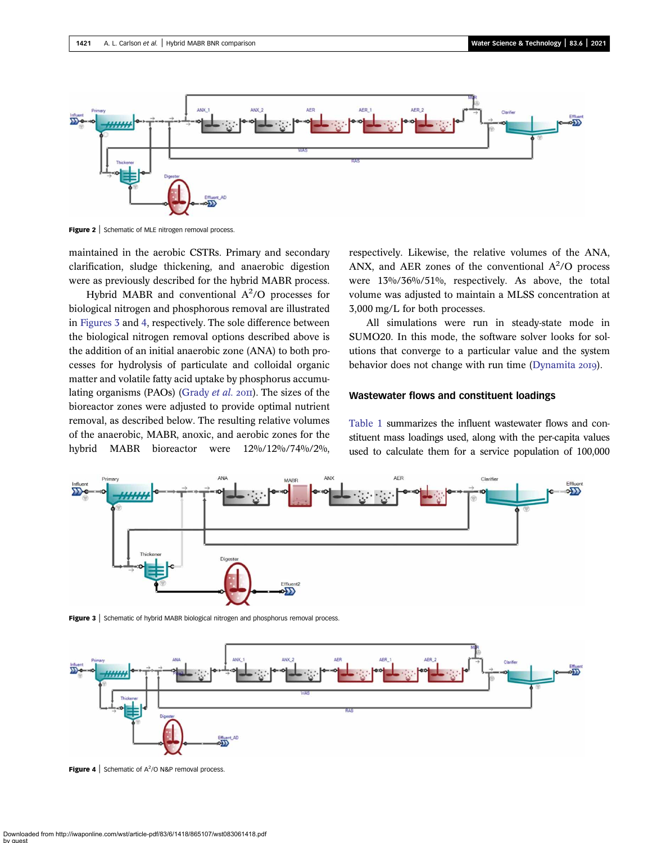<span id="page-3-0"></span>

Figure 2 | Schematic of MLE nitrogen removal process.

maintained in the aerobic CSTRs. Primary and secondary clarification, sludge thickening, and anaerobic digestion were as previously described for the hybrid MABR process.

Hybrid MABR and conventional  $A^2$ /O processes for biological nitrogen and phosphorous removal are illustrated in Figures 3 and 4, respectively. The sole difference between the biological nitrogen removal options described above is the addition of an initial anaerobic zone (ANA) to both processes for hydrolysis of particulate and colloidal organic matter and volatile fatty acid uptake by phosphorus accumu-lating organisms (PAOs) ([Grady](#page-10-0) *et al.*  $20\text{II}$ ). The sizes of the bioreactor zones were adjusted to provide optimal nutrient removal, as described below. The resulting relative volumes of the anaerobic, MABR, anoxic, and aerobic zones for the hybrid MABR bioreactor were 12%/12%/74%/2%,

respectively. Likewise, the relative volumes of the ANA, ANX, and AER zones of the conventional  $A^2/O$  process were 13%/36%/51%, respectively. As above, the total volume was adjusted to maintain a MLSS concentration at 3,000 mg/L for both processes.

All simulations were run in steady-state mode in SUMO20. In this mode, the software solver looks for solutions that converge to a particular value and the system behavior does not change with run time [\(Dynamita](#page-10-0) 2019).

## Wastewater flows and constituent loadings

[Table 1](#page-1-0) summarizes the influent wastewater flows and constituent mass loadings used, along with the per-capita values used to calculate them for a service population of 100,000



Figure 3 | Schematic of hybrid MABR biological nitrogen and phosphorus removal process.



**Figure 4** Schematic of  $A^2$ /O N&P removal process.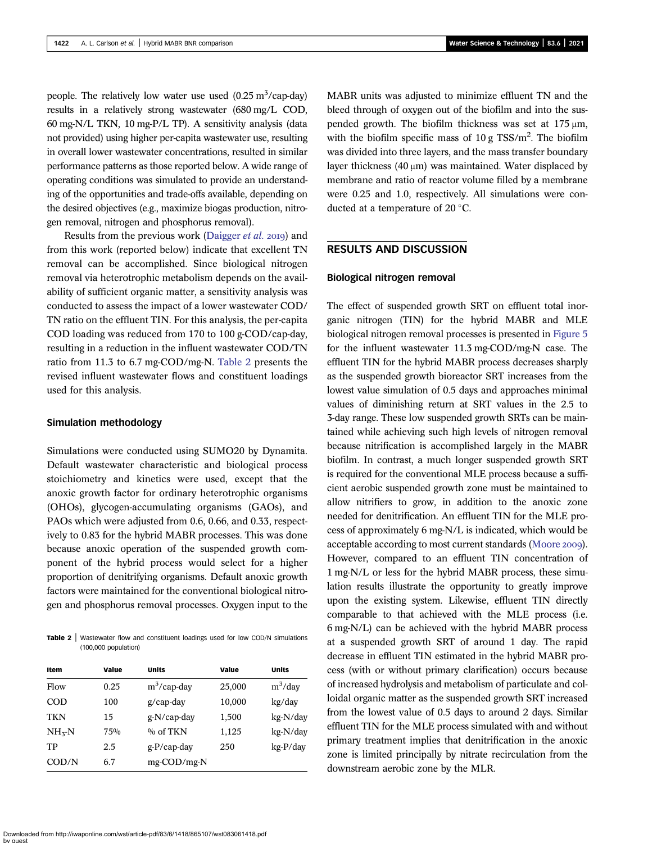people. The relatively low water use used  $(0.25 \text{ m}^3/\text{cap-day})$ results in a relatively strong wastewater (680 mg/L COD, 60 mg-N/L TKN, 10 mg-P/L TP). A sensitivity analysis (data not provided) using higher per-capita wastewater use, resulting in overall lower wastewater concentrations, resulted in similar performance patterns as those reported below. A wide range of operating conditions was simulated to provide an understanding of the opportunities and trade-offs available, depending on the desired objectives (e.g., maximize biogas production, nitrogen removal, nitrogen and phosphorus removal).

Results from the previous work ([Daigger](#page-10-0) *et al.* 2019) and from this work (reported below) indicate that excellent TN removal can be accomplished. Since biological nitrogen removal via heterotrophic metabolism depends on the availability of sufficient organic matter, a sensitivity analysis was conducted to assess the impact of a lower wastewater COD/ TN ratio on the effluent TIN. For this analysis, the per-capita COD loading was reduced from 170 to 100 g-COD/cap-day, resulting in a reduction in the influent wastewater COD/TN ratio from 11.3 to 6.7 mg-COD/mg-N. Table 2 presents the revised influent wastewater flows and constituent loadings used for this analysis.

#### Simulation methodology

Simulations were conducted using SUMO20 by Dynamita. Default wastewater characteristic and biological process stoichiometry and kinetics were used, except that the anoxic growth factor for ordinary heterotrophic organisms (OHOs), glycogen-accumulating organisms (GAOs), and PAOs which were adjusted from 0.6, 0.66, and 0.33, respectively to 0.83 for the hybrid MABR processes. This was done because anoxic operation of the suspended growth component of the hybrid process would select for a higher proportion of denitrifying organisms. Default anoxic growth factors were maintained for the conventional biological nitrogen and phosphorus removal processes. Oxygen input to the

Table 2 | Wastewater flow and constituent loadings used for low COD/N simulations (100,000 population)

| Item         | Value | <b>Units</b>   | Value  | <b>Units</b> |
|--------------|-------|----------------|--------|--------------|
| Flow         | 0.25  | $m^3$ /cap-day | 25,000 | $m^3$ /day   |
| COD          | 100   | $g$ /cap-day   | 10,000 | kg/day       |
| <b>TKN</b>   | 15    | g-N/cap-day    | 1,500  | kg-N/day     |
| $NH3-N$      | 75%   | $\%$ of TKN    | 1,125  | kg-N/day     |
| TР           | 2.5   | $g-P/cap$ -day | 250    | kg-P/day     |
| $\rm{COD/N}$ | 6.7   | mg-COD/mg-N    |        |              |

MABR units was adjusted to minimize effluent TN and the bleed through of oxygen out of the biofilm and into the suspended growth. The biofilm thickness was set at 175 μm, with the biofilm specific mass of  $10 \text{ g}$  TSS/m<sup>2</sup>. The biofilm was divided into three layers, and the mass transfer boundary layer thickness (40 μm) was maintained. Water displaced by membrane and ratio of reactor volume filled by a membrane were 0.25 and 1.0, respectively. All simulations were conducted at a temperature of 20 $\degree$ C.

## RESULTS AND DISCUSSION

## Biological nitrogen removal

The effect of suspended growth SRT on effluent total inorganic nitrogen (TIN) for the hybrid MABR and MLE biological nitrogen removal processes is presented in [Figure 5](#page-5-0) for the influent wastewater 11.3 mg-COD/mg-N case. The effluent TIN for the hybrid MABR process decreases sharply as the suspended growth bioreactor SRT increases from the lowest value simulation of 0.5 days and approaches minimal values of diminishing return at SRT values in the 2.5 to 3-day range. These low suspended growth SRTs can be maintained while achieving such high levels of nitrogen removal because nitrification is accomplished largely in the MABR biofilm. In contrast, a much longer suspended growth SRT is required for the conventional MLE process because a sufficient aerobic suspended growth zone must be maintained to allow nitrifiers to grow, in addition to the anoxic zone needed for denitrification. An effluent TIN for the MLE process of approximately 6 mg-N/L is indicated, which would be acceptable according to most current standards [\(Moore](#page-10-0) 2009). However, compared to an effluent TIN concentration of 1 mg-N/L or less for the hybrid MABR process, these simulation results illustrate the opportunity to greatly improve upon the existing system. Likewise, effluent TIN directly comparable to that achieved with the MLE process (i.e. 6 mg-N/L) can be achieved with the hybrid MABR process at a suspended growth SRT of around 1 day. The rapid decrease in effluent TIN estimated in the hybrid MABR process (with or without primary clarification) occurs because of increased hydrolysis and metabolism of particulate and colloidal organic matter as the suspended growth SRT increased from the lowest value of 0.5 days to around 2 days. Similar effluent TIN for the MLE process simulated with and without primary treatment implies that denitrification in the anoxic zone is limited principally by nitrate recirculation from the downstream aerobic zone by the MLR.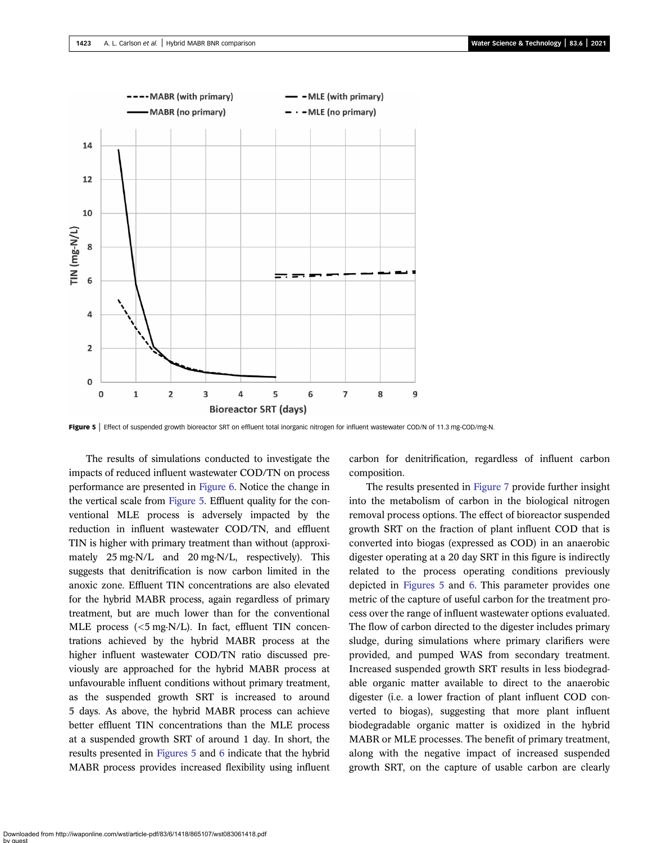<span id="page-5-0"></span>

Figure 5 | Effect of suspended growth bioreactor SRT on effluent total inorganic nitrogen for influent wastewater COD/N of 11.3 mg-COD/mg-N.

The results of simulations conducted to investigate the impacts of reduced influent wastewater COD/TN on process performance are presented in [Figure 6](#page-6-0). Notice the change in the vertical scale from Figure 5. Effluent quality for the conventional MLE process is adversely impacted by the reduction in influent wastewater COD/TN, and effluent TIN is higher with primary treatment than without (approximately 25 mg-N/L and 20 mg-N/L, respectively). This suggests that denitrification is now carbon limited in the anoxic zone. Effluent TIN concentrations are also elevated for the hybrid MABR process, again regardless of primary treatment, but are much lower than for the conventional MLE process (<5 mg-N/L). In fact, effluent TIN concentrations achieved by the hybrid MABR process at the higher influent wastewater COD/TN ratio discussed previously are approached for the hybrid MABR process at unfavourable influent conditions without primary treatment, as the suspended growth SRT is increased to around 5 days. As above, the hybrid MABR process can achieve better effluent TIN concentrations than the MLE process at a suspended growth SRT of around 1 day. In short, the results presented in Figures 5 and [6](#page-6-0) indicate that the hybrid MABR process provides increased flexibility using influent carbon for denitrification, regardless of influent carbon composition.

The results presented in [Figure 7](#page-6-0) provide further insight into the metabolism of carbon in the biological nitrogen removal process options. The effect of bioreactor suspended growth SRT on the fraction of plant influent COD that is converted into biogas (expressed as COD) in an anaerobic digester operating at a 20 day SRT in this figure is indirectly related to the process operating conditions previously depicted in Figures 5 and [6](#page-6-0). This parameter provides one metric of the capture of useful carbon for the treatment process over the range of influent wastewater options evaluated. The flow of carbon directed to the digester includes primary sludge, during simulations where primary clarifiers were provided, and pumped WAS from secondary treatment. Increased suspended growth SRT results in less biodegradable organic matter available to direct to the anaerobic digester (i.e. a lower fraction of plant influent COD converted to biogas), suggesting that more plant influent biodegradable organic matter is oxidized in the hybrid MABR or MLE processes. The benefit of primary treatment, along with the negative impact of increased suspended growth SRT, on the capture of usable carbon are clearly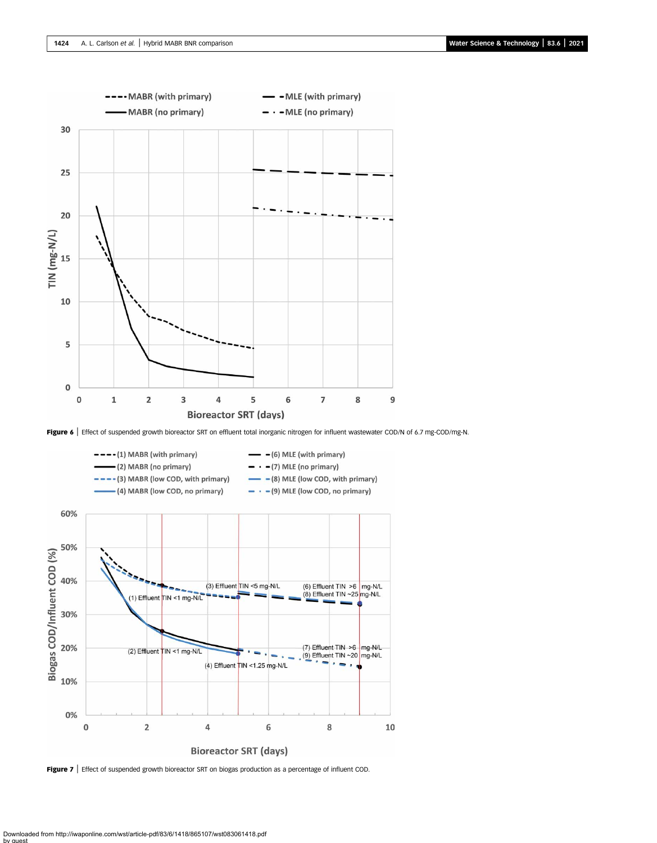<span id="page-6-0"></span>

Figure 6 | Effect of suspended growth bioreactor SRT on effluent total inorganic nitrogen for influent wastewater COD/N of 6.7 mg-COD/mg-N.



Figure 7 | Effect of suspended growth bioreactor SRT on biogas production as a percentage of influent COD.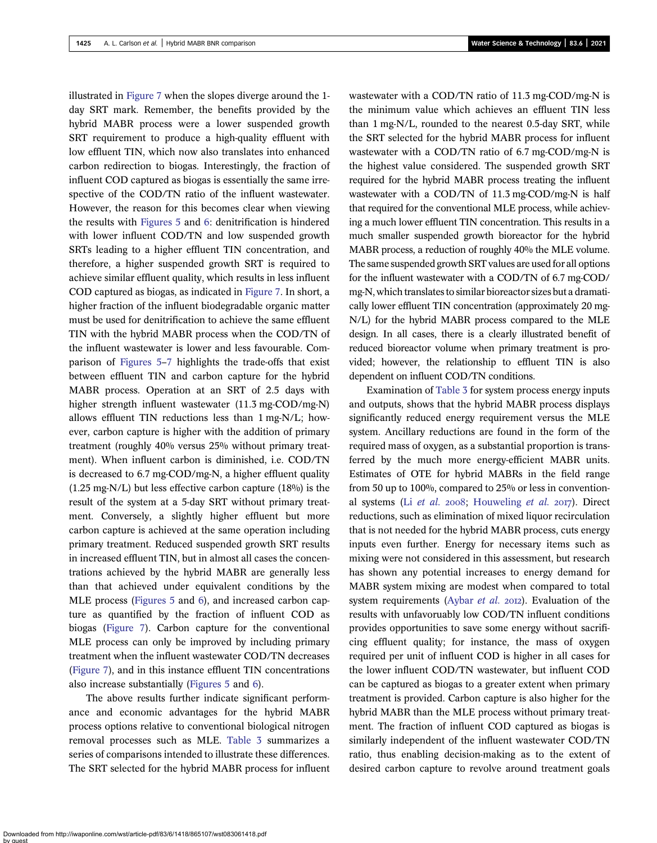illustrated in [Figure 7](#page-6-0) when the slopes diverge around the 1 day SRT mark. Remember, the benefits provided by the hybrid MABR process were a lower suspended growth SRT requirement to produce a high-quality effluent with low effluent TIN, which now also translates into enhanced carbon redirection to biogas. Interestingly, the fraction of influent COD captured as biogas is essentially the same irrespective of the COD/TN ratio of the influent wastewater. However, the reason for this becomes clear when viewing the results with [Figures 5](#page-5-0) and [6](#page-6-0): denitrification is hindered with lower influent COD/TN and low suspended growth SRTs leading to a higher effluent TIN concentration, and therefore, a higher suspended growth SRT is required to achieve similar effluent quality, which results in less influent COD captured as biogas, as indicated in [Figure 7](#page-6-0). In short, a higher fraction of the influent biodegradable organic matter must be used for denitrification to achieve the same effluent TIN with the hybrid MABR process when the COD/TN of the influent wastewater is lower and less favourable. Comparison of [Figures 5](#page-5-0)–[7](#page-6-0) highlights the trade-offs that exist between effluent TIN and carbon capture for the hybrid MABR process. Operation at an SRT of 2.5 days with higher strength influent wastewater (11.3 mg-COD/mg-N) allows effluent TIN reductions less than 1 mg-N/L; however, carbon capture is higher with the addition of primary treatment (roughly 40% versus 25% without primary treatment). When influent carbon is diminished, i.e. COD/TN is decreased to 6.7 mg-COD/mg-N, a higher effluent quality (1.25 mg-N/L) but less effective carbon capture (18%) is the result of the system at a 5-day SRT without primary treatment. Conversely, a slightly higher effluent but more carbon capture is achieved at the same operation including primary treatment. Reduced suspended growth SRT results in increased effluent TIN, but in almost all cases the concentrations achieved by the hybrid MABR are generally less than that achieved under equivalent conditions by the MLE process ([Figures 5](#page-5-0) and [6](#page-6-0)), and increased carbon capture as quantified by the fraction of influent COD as biogas [\(Figure 7\)](#page-6-0). Carbon capture for the conventional MLE process can only be improved by including primary treatment when the influent wastewater COD/TN decreases [\(Figure 7\)](#page-6-0), and in this instance effluent TIN concentrations also increase substantially [\(Figures 5](#page-5-0) and [6](#page-6-0)).

The above results further indicate significant performance and economic advantages for the hybrid MABR process options relative to conventional biological nitrogen removal processes such as MLE. [Table 3](#page-8-0) summarizes a series of comparisons intended to illustrate these differences. The SRT selected for the hybrid MABR process for influent wastewater with a COD/TN ratio of 11.3 mg-COD/mg-N is the minimum value which achieves an effluent TIN less than 1 mg-N/L, rounded to the nearest 0.5-day SRT, while the SRT selected for the hybrid MABR process for influent wastewater with a COD/TN ratio of 6.7 mg-COD/mg-N is the highest value considered. The suspended growth SRT required for the hybrid MABR process treating the influent wastewater with a COD/TN of 11.3 mg-COD/mg-N is half that required for the conventional MLE process, while achieving a much lower effluent TIN concentration. This results in a much smaller suspended growth bioreactor for the hybrid MABR process, a reduction of roughly 40% the MLE volume. The same suspended growth SRT values are used for all options for the influent wastewater with a COD/TN of 6.7 mg-COD/ mg-N, which translates to similar bioreactor sizes but a dramatically lower effluent TIN concentration (approximately 20 mg-N/L) for the hybrid MABR process compared to the MLE design. In all cases, there is a clearly illustrated benefit of reduced bioreactor volume when primary treatment is provided; however, the relationship to effluent TIN is also dependent on influent COD/TN conditions.

Examination of [Table 3](#page-8-0) for system process energy inputs and outputs, shows that the hybrid MABR process displays significantly reduced energy requirement versus the MLE system. Ancillary reductions are found in the form of the required mass of oxygen, as a substantial proportion is transferred by the much more energy-efficient MABR units. Estimates of OTE for hybrid MABRs in the field range from 50 up to 100%, compared to 25% or less in conventional systems (Li [et al.](#page-10-0) 2008; [Houweling](#page-10-0) et al. 2017). Direct reductions, such as elimination of mixed liquor recirculation that is not needed for the hybrid MABR process, cuts energy inputs even further. Energy for necessary items such as mixing were not considered in this assessment, but research has shown any potential increases to energy demand for MABR system mixing are modest when compared to total system requirements [\(Aybar](#page-10-0) et al. 2012). Evaluation of the results with unfavoruably low COD/TN influent conditions provides opportunities to save some energy without sacrificing effluent quality; for instance, the mass of oxygen required per unit of influent COD is higher in all cases for the lower influent COD/TN wastewater, but influent COD can be captured as biogas to a greater extent when primary treatment is provided. Carbon capture is also higher for the hybrid MABR than the MLE process without primary treatment. The fraction of influent COD captured as biogas is similarly independent of the influent wastewater COD/TN ratio, thus enabling decision-making as to the extent of desired carbon capture to revolve around treatment goals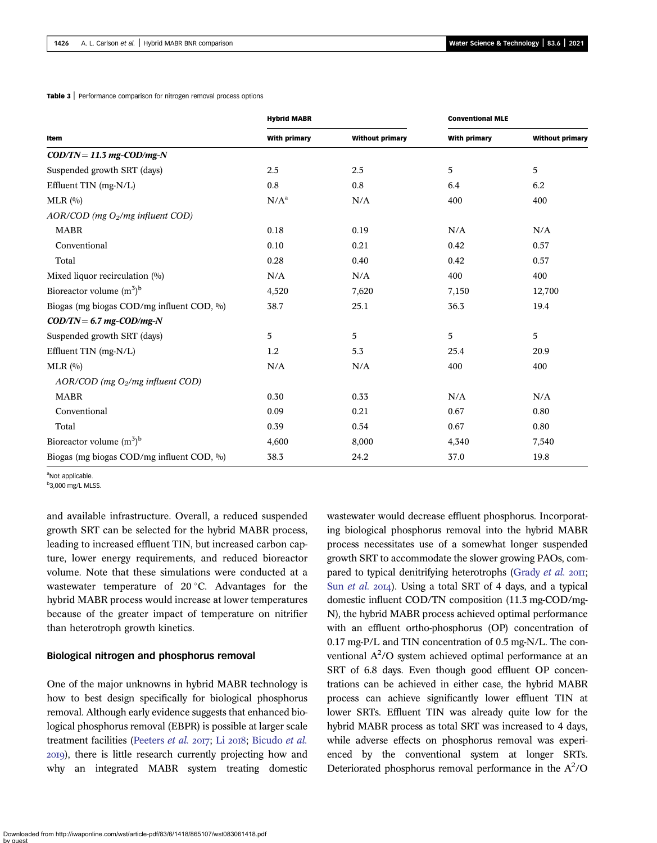|                                                                         | <b>Hybrid MABR</b><br><b>Conventional MLE</b> |                        |                     |                        |  |
|-------------------------------------------------------------------------|-----------------------------------------------|------------------------|---------------------|------------------------|--|
| Item                                                                    | <b>With primary</b>                           | <b>Without primary</b> | <b>With primary</b> | <b>Without primary</b> |  |
| $\text{COD}/\text{TN} = 11.3 \text{ mg-COD}/\text{mg-N}$                |                                               |                        |                     |                        |  |
| Suspended growth SRT (days)                                             | 2.5                                           | 2.5                    | 5                   | $\sqrt{5}$             |  |
| Effluent TIN (mg-N/L)                                                   | 0.8                                           | 0.8                    | 6.4                 | 6.2                    |  |
| MLR(0/0)                                                                | $N/A^a$                                       | N/A                    | 400                 | 400                    |  |
| $AOR/ COD$ (mg $O2/mg$ influent COD)                                    |                                               |                        |                     |                        |  |
| <b>MABR</b>                                                             | 0.18                                          | 0.19                   | N/A                 | N/A                    |  |
| Conventional                                                            | 0.10                                          | 0.21                   | 0.42                | 0.57                   |  |
| Total                                                                   | 0.28                                          | 0.40                   | 0.42                | 0.57                   |  |
| Mixed liquor recirculation (%)                                          | N/A                                           | N/A                    | 400                 | 400                    |  |
| Bioreactor volume $(m^3)^b$                                             | 4,520                                         | 7,620                  | 7,150               | 12,700                 |  |
| Biogas (mg biogas COD/mg influent COD, %)                               | 38.7                                          | 25.1                   | 36.3                | 19.4                   |  |
| $\text{COD}/\text{TN} = 6.7 \text{ mg} - \text{COD}/\text{mg}-\text{N}$ |                                               |                        |                     |                        |  |
| Suspended growth SRT (days)                                             | 5                                             | 5                      | 5                   | 5                      |  |
| Effluent TIN (mg-N/L)                                                   | 1.2                                           | 5.3                    | 25.4                | 20.9                   |  |
| MLR(0/0)                                                                | N/A                                           | N/A                    | 400                 | 400                    |  |
| $AOR/ COD$ (mg $O2/mg$ influent COD)                                    |                                               |                        |                     |                        |  |
| <b>MABR</b>                                                             | 0.30                                          | 0.33                   | N/A                 | N/A                    |  |
| Conventional                                                            | 0.09                                          | 0.21                   | 0.67                | 0.80                   |  |
| Total                                                                   | 0.39                                          | 0.54                   | 0.67                | 0.80                   |  |
| Bioreactor volume $(m^3)^b$                                             | 4,600                                         | 8,000                  | 4,340               | 7,540                  |  |
|                                                                         |                                               |                        |                     |                        |  |

Biogas (mg biogas COD/mg influent COD, %) 38.3 24.2 37.0 37.0 19.8

<span id="page-8-0"></span>Table 3 | Performance comparison for nitrogen removal process options

aNot applicable.

<sup>b</sup>3,000 mg/L MLSS.

and available infrastructure. Overall, a reduced suspended growth SRT can be selected for the hybrid MABR process, leading to increased effluent TIN, but increased carbon capture, lower energy requirements, and reduced bioreactor volume. Note that these simulations were conducted at a wastewater temperature of  $20^{\circ}$ C. Advantages for the hybrid MABR process would increase at lower temperatures because of the greater impact of temperature on nitrifier than heterotroph growth kinetics.

#### Biological nitrogen and phosphorus removal

One of the major unknowns in hybrid MABR technology is how to best design specifically for biological phosphorus removal. Although early evidence suggests that enhanced biological phosphorus removal (EBPR) is possible at larger scale treatment facilities ([Peeters](#page-10-0) et al. 2017; Li 2018; [Bicudo](#page-10-0) et al. ), there is little research currently projecting how and why an integrated MABR system treating domestic wastewater would decrease effluent phosphorus. Incorporating biological phosphorus removal into the hybrid MABR process necessitates use of a somewhat longer suspended growth SRT to accommodate the slower growing PAOs, com-pared to typical denitrifying heterotrophs [\(Grady](#page-10-0) et al. 2011; Sun [et al.](#page-10-0) 2014). Using a total SRT of 4 days, and a typical domestic influent COD/TN composition (11.3 mg-COD/mg-N), the hybrid MABR process achieved optimal performance with an effluent ortho-phosphorus (OP) concentration of 0.17 mg-P/L and TIN concentration of 0.5 mg-N/L. The conventional  $A^2$ /O system achieved optimal performance at an SRT of 6.8 days. Even though good effluent OP concentrations can be achieved in either case, the hybrid MABR process can achieve significantly lower effluent TIN at lower SRTs. Effluent TIN was already quite low for the hybrid MABR process as total SRT was increased to 4 days, while adverse effects on phosphorus removal was experienced by the conventional system at longer SRTs. Deteriorated phosphorus removal performance in the  $A^2$ /O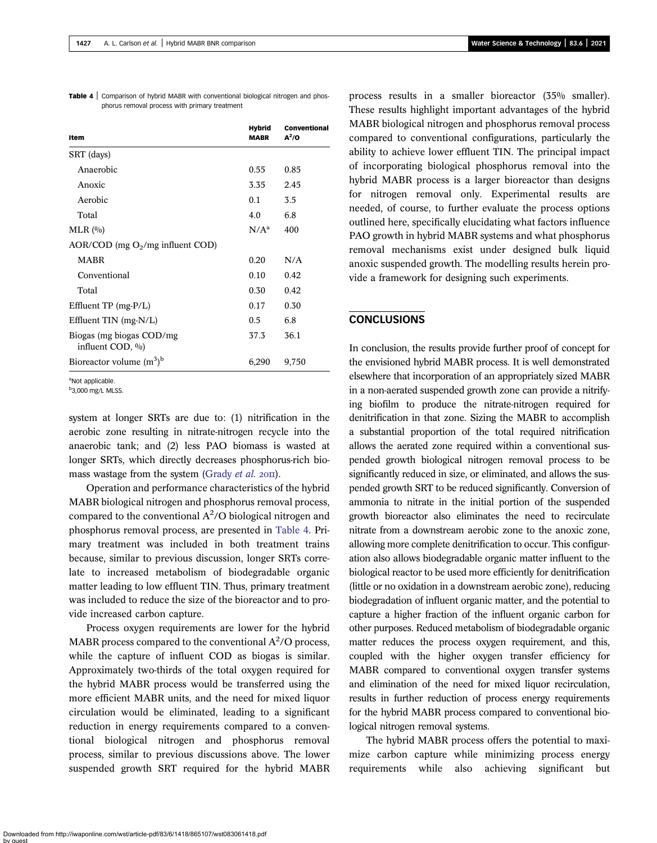| <b>Table 4</b> Comparison of hybrid MABR with conventional biological nitrogen and phos- |  |                                               |  |  |
|------------------------------------------------------------------------------------------|--|-----------------------------------------------|--|--|
|                                                                                          |  | phorus removal process with primary treatment |  |  |

| Item                                         | <b>Hybrid</b><br><b>MABR</b> | <b>Conventional</b><br>$A^2$ /O |
|----------------------------------------------|------------------------------|---------------------------------|
| SRT (days)                                   |                              |                                 |
| Anaerobic                                    | 0.55                         | 0.85                            |
| Anoxic                                       | 3.35                         | 2.45                            |
| Aerobic                                      | 0.1                          | 3.5                             |
| Total                                        | 4.0                          | 6.8                             |
| $MLR$ $(0)$                                  | $N/A^a$                      | 400                             |
| AOR/COD (mg $O_2/mg$ influent COD)           |                              |                                 |
| <b>MABR</b>                                  | 0.20                         | N/A                             |
| Conventional                                 | 0.10                         | 0.42                            |
| Total                                        | 0.30                         | 0.42                            |
| Effluent $TP$ (mg- $P/L$ )                   | 0.17                         | 0.30                            |
| Effluent $TIN$ (mg- $N/L$ )                  | 0.5                          | 6.8                             |
| Biogas (mg biogas COD/mg<br>influent COD, %) | 37.3                         | 36.1                            |
| Bioreactor volume $(m^3)^b$                  | 6,290                        | 9,750                           |

aNot applicable.

<sup>b</sup>3,000 mg/L MLSS.

system at longer SRTs are due to: (1) nitrification in the aerobic zone resulting in nitrate-nitrogen recycle into the anaerobic tank; and (2) less PAO biomass is wasted at longer SRTs, which directly decreases phosphorus-rich bio-mass wastage from the system [\(Grady](#page-10-0) et al. 2011).

Operation and performance characteristics of the hybrid MABR biological nitrogen and phosphorus removal process, compared to the conventional  $A^2$ /O biological nitrogen and phosphorus removal process, are presented in Table 4. Primary treatment was included in both treatment trains because, similar to previous discussion, longer SRTs correlate to increased metabolism of biodegradable organic matter leading to low effluent TIN. Thus, primary treatment was included to reduce the size of the bioreactor and to provide increased carbon capture.

Process oxygen requirements are lower for the hybrid MABR process compared to the conventional  $A^2$ /O process, while the capture of influent COD as biogas is similar. Approximately two-thirds of the total oxygen required for the hybrid MABR process would be transferred using the more efficient MABR units, and the need for mixed liquor circulation would be eliminated, leading to a significant reduction in energy requirements compared to a conventional biological nitrogen and phosphorus removal process, similar to previous discussions above. The lower suspended growth SRT required for the hybrid MABR process results in a smaller bioreactor (35% smaller). These results highlight important advantages of the hybrid MABR biological nitrogen and phosphorus removal process compared to conventional configurations, particularly the ability to achieve lower effluent TIN. The principal impact of incorporating biological phosphorus removal into the hybrid MABR process is a larger bioreactor than designs for nitrogen removal only. Experimental results are needed, of course, to further evaluate the process options outlined here, specifically elucidating what factors influence PAO growth in hybrid MABR systems and what phosphorus removal mechanisms exist under designed bulk liquid anoxic suspended growth. The modelling results herein provide a framework for designing such experiments.

# **CONCLUSIONS**

In conclusion, the results provide further proof of concept for the envisioned hybrid MABR process. It is well demonstrated elsewhere that incorporation of an appropriately sized MABR in a non-aerated suspended growth zone can provide a nitrifying biofilm to produce the nitrate-nitrogen required for denitrification in that zone. Sizing the MABR to accomplish a substantial proportion of the total required nitrification allows the aerated zone required within a conventional suspended growth biological nitrogen removal process to be significantly reduced in size, or eliminated, and allows the suspended growth SRT to be reduced significantly. Conversion of ammonia to nitrate in the initial portion of the suspended growth bioreactor also eliminates the need to recirculate nitrate from a downstream aerobic zone to the anoxic zone, allowing more complete denitrification to occur. This configuration also allows biodegradable organic matter influent to the biological reactor to be used more efficiently for denitrification (little or no oxidation in a downstream aerobic zone), reducing biodegradation of influent organic matter, and the potential to capture a higher fraction of the influent organic carbon for other purposes. Reduced metabolism of biodegradable organic matter reduces the process oxygen requirement, and this, coupled with the higher oxygen transfer efficiency for MABR compared to conventional oxygen transfer systems and elimination of the need for mixed liquor recirculation, results in further reduction of process energy requirements for the hybrid MABR process compared to conventional biological nitrogen removal systems.

The hybrid MABR process offers the potential to maximize carbon capture while minimizing process energy requirements while also achieving significant but